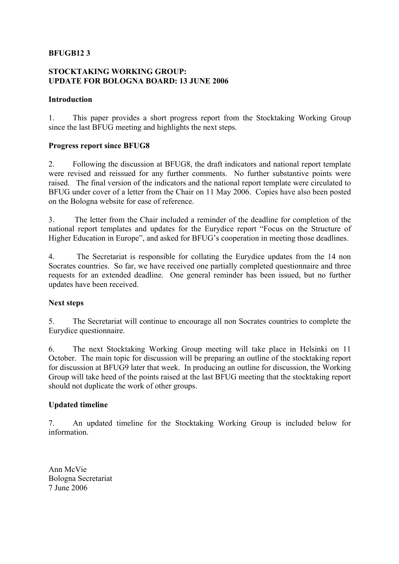## **BFUGB12 3**

### **STOCKTAKING WORKING GROUP: UPDATE FOR BOLOGNA BOARD: 13 JUNE 2006**

#### **Introduction**

1. This paper provides a short progress report from the Stocktaking Working Group since the last BFUG meeting and highlights the next steps.

#### **Progress report since BFUG8**

2. Following the discussion at BFUG8, the draft indicators and national report template were revised and reissued for any further comments. No further substantive points were raised. The final version of the indicators and the national report template were circulated to BFUG under cover of a letter from the Chair on 11 May 2006. Copies have also been posted on the Bologna website for ease of reference.

3. The letter from the Chair included a reminder of the deadline for completion of the national report templates and updates for the Eurydice report "Focus on the Structure of Higher Education in Europe", and asked for BFUG's cooperation in meeting those deadlines.

4. The Secretariat is responsible for collating the Eurydice updates from the 14 non Socrates countries. So far, we have received one partially completed questionnaire and three requests for an extended deadline. One general reminder has been issued, but no further updates have been received.

#### **Next steps**

5. The Secretariat will continue to encourage all non Socrates countries to complete the Eurydice questionnaire.

6. The next Stocktaking Working Group meeting will take place in Helsinki on 11 October. The main topic for discussion will be preparing an outline of the stocktaking report for discussion at BFUG9 later that week. In producing an outline for discussion, the Working Group will take heed of the points raised at the last BFUG meeting that the stocktaking report should not duplicate the work of other groups.

## **Updated timeline**

7. An updated timeline for the Stocktaking Working Group is included below for information.

Ann McVie Bologna Secretariat 7 June 2006